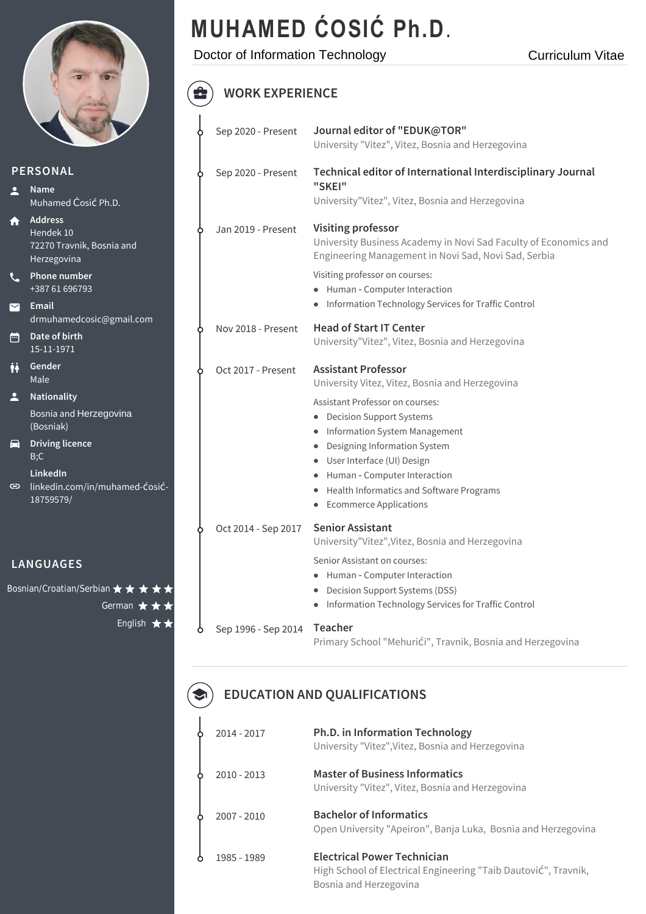

 $\mathbf{C}$ 

 $\blacksquare$ 

卣

**Bosnian/Croat** 

# **MUHAMED ĆOSIĆ Ph.D**.

Doctor of Information Technology

#### $\bigoplus$ **WORK EXPERIENCE**

|                              |                                                                         |  | Sep 2020 - Present            | Journal editor of "EDUK@TOR"<br>University "Vitez", Vitez, Bosnia and Herzegovina                                                                     |
|------------------------------|-------------------------------------------------------------------------|--|-------------------------------|-------------------------------------------------------------------------------------------------------------------------------------------------------|
| <b>PERSONAL</b>              |                                                                         |  | Sep 2020 - Present            | Technical editor of International Interdisciplinary Journal                                                                                           |
| $\overline{\phantom{a}}$     | <b>Name</b><br>Muhamed Ćosić Ph.D.                                      |  |                               | "SKEI"<br>University"Vitez", Vitez, Bosnia and Herzegovina                                                                                            |
| A                            | <b>Address</b><br>Hendek 10<br>72270 Travnik, Bosnia and<br>Herzegovina |  | Jan 2019 - Present            | <b>Visiting professor</b><br>University Business Academy in Novi Sad Faculty of Economics and<br>Engineering Management in Novi Sad, Novi Sad, Serbia |
| $\mathcal{L}$                | Phone number<br>+387 61 696793                                          |  |                               | Visiting professor on courses:<br>• Human - Computer Interaction                                                                                      |
| 罓                            | Email<br>drmuhamedcosic@gmail.com                                       |  |                               | Information Technology Services for Traffic Control<br>$\bullet$                                                                                      |
| Ō                            | Date of birth<br>15-11-1971                                             |  | Nov 2018 - Present            | <b>Head of Start IT Center</b><br>University"Vitez", Vitez, Bosnia and Herzegovina                                                                    |
| İł                           | Gender<br>Male                                                          |  | Oct 2017 - Present            | <b>Assistant Professor</b><br>University Vitez, Vitez, Bosnia and Herzegovina                                                                         |
| $\overline{\phantom{a}}$     | Nationality                                                             |  |                               | Assistant Professor on courses:                                                                                                                       |
|                              | Bosnia and Herzegovina<br>(Bosniak)                                     |  |                               | <b>Decision Support Systems</b><br>Information System Management                                                                                      |
| 8                            | <b>Driving licence</b><br>B;C                                           |  |                               | Designing Information System                                                                                                                          |
|                              | LinkedIn                                                                |  |                               | User Interface (UI) Design<br>Human - Computer Interaction<br>٠                                                                                       |
| ⊖                            | linkedin.com/in/muhamed-Ćosić-                                          |  |                               | Health Informatics and Software Programs<br>٠                                                                                                         |
|                              | 18759579/                                                               |  | <b>Ecommerce Applications</b> |                                                                                                                                                       |
|                              |                                                                         |  | Oct 2014 - Sep 2017           | <b>Senior Assistant</b><br>University"Vitez", Vitez, Bosnia and Herzegovina                                                                           |
| <b>LANGUAGES</b>             |                                                                         |  | Senior Assistant on courses:  |                                                                                                                                                       |
| Bosnian/Croatian/Serbian ★ ★ |                                                                         |  |                               | Human - Computer Interaction<br>۰<br><b>Decision Support Systems (DSS)</b>                                                                            |
|                              | German $\bigstar$                                                       |  |                               | Information Technology Services for Traffic Control                                                                                                   |
|                              | English $\bigstar$                                                      |  | Sep 1996 - Sep 2014           | Teacher<br>Primary School "Mehurići", Travnik, Bosnia and Herzegovina                                                                                 |

#### **EDUCATION AND QUALIFICATIONS**  $\bullet$

|    | 2014 - 2017   | <b>Ph.D. in Information Technology</b><br>University "Vitez", Vitez, Bosnia and Herzegovina                                     |
|----|---------------|---------------------------------------------------------------------------------------------------------------------------------|
|    | $2010 - 2013$ | <b>Master of Business Informatics</b><br>University "Vitez", Vitez, Bosnia and Herzegovina                                      |
| Y. | 2007 - 2010   | <b>Bachelor of Informatics</b><br>Open University "Apeiron", Banja Luka, Bosnia and Herzegovina                                 |
|    | 1985 - 1989   | <b>Electrical Power Technician</b><br>High School of Electrical Engineering "Taib Dautović", Travnik,<br>Bosnia and Herzegovina |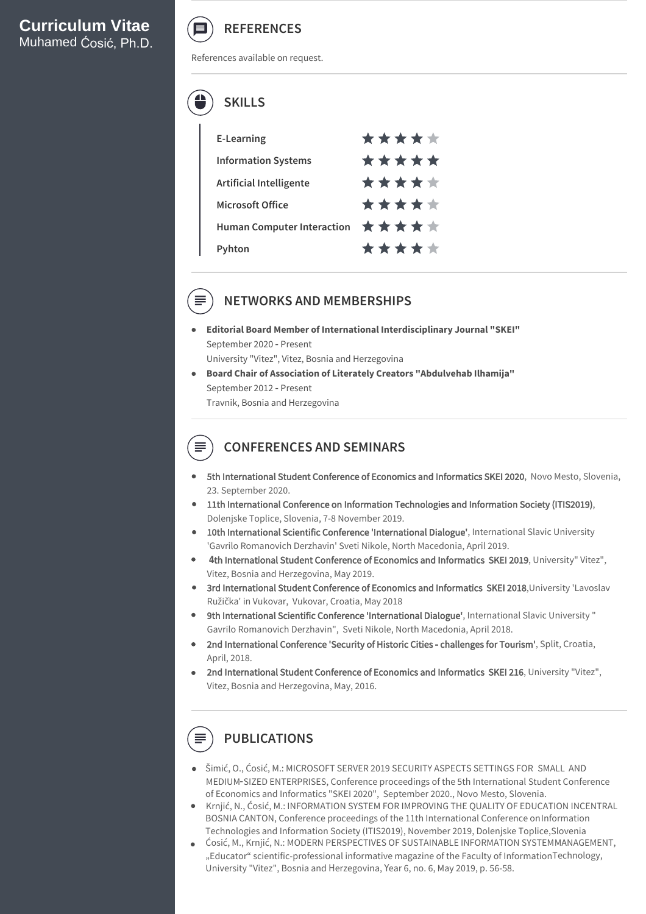

References available on request.



| <b>E-Learning</b>                                                | ***** |
|------------------------------------------------------------------|-------|
| <b>Information Systems</b>                                       | ***** |
| <b>Artificial Intelligente</b>                                   | ***** |
| Microsoft Office                                                 | ***** |
| Human Computer Interaction $\quad \star \star \star \star \star$ |       |
| Pvhton                                                           | ***** |

## **NETWORKS AND MEMBERSHIPS**

- **Editorial Board Member of International Interdisciplinary Journal "SKEI"** September 2020 ‑ Present University "Vitez", Vitez, Bosnia and Herzegovina
- **Board Chair of Association of Literately Creators "Abdulvehab Ilhamija"** September 2012 ‑ Present Travnik, Bosnia and Herzegovina

## **CONFERENCES AND SEMINARS**

- 5th International Student Conference of Economics and Informatics SKEI 2020, Novo Mesto, Slovenia, 23. September 2020.
- 11th International Conference on Information Technologies and Information Society (ITIS2019), Dolenjske Toplice, Slovenia, 7-8 November 2019.
- 10th International Scientific Conference 'International Dialogue', International Slavic University 'Gavrilo Romanovich Derzhavin' Sveti Nikole, North Macedonia, April 2019.
- **4**th International Student Conference of Economics and Informatics SKEI 2019, University" Vitez", Vitez, Bosnia and Herzegovina, May 2019.
- 3rd International Student Conference of Economics and Informatics SKEI 2018, University 'Lavoslav Ružička' in Vukovar, Vukovar, Croatia, May 2018
- 9th International Scientific Conference 'International Dialogue', International Slavic University " Gavrilo Romanovich Derzhavin", Sveti Nikole, North Macedonia, April 2018.
- 2nd International Conference 'Security of Historic Cities challenges for Tourism', Split, Croatia, April, 2018.
- 2nd International Student Conference of Economics and Informatics SKEI 216, University "Vitez", Vitez, Bosnia and Herzegovina, May, 2016.

# **PUBLICATIONS**

- $\bullet$  Šimić, O., Ćosić, M.: MICROSOFT SERVER 2019 SECURITY ASPECTS SETTINGS FOR SMALL AND MEDIUM‑SIZED ENTERPRISES, Conference proceedings of the 5th International Student Conference of Economics and Informatics "SKEI 2020", September 2020., Novo Mesto, Slovenia.
- Krnjić, N., Ćosić, M.: INFORMATION SYSTEM FOR IMPROVING THE QUALITY OF EDUCATION INCENTRAL BOSNIA CANTON, Conference proceedings of the 11th International Conference onInformation Technologies and Information Society (ITIS2019), November 2019, Dolenjske Toplice,Slovenia
- Ćosić, M., Krnjić, N.: MODERN PERSPECTIVES OF SUSTAINABLE INFORMATION SYSTEMMANAGEMENT, "Educator" scientific-professional informative magazine of the Faculty of InformationTechnology, University "Vitez", Bosnia and Herzegovina, Year 6, no. 6, May 2019, p. 56-58.